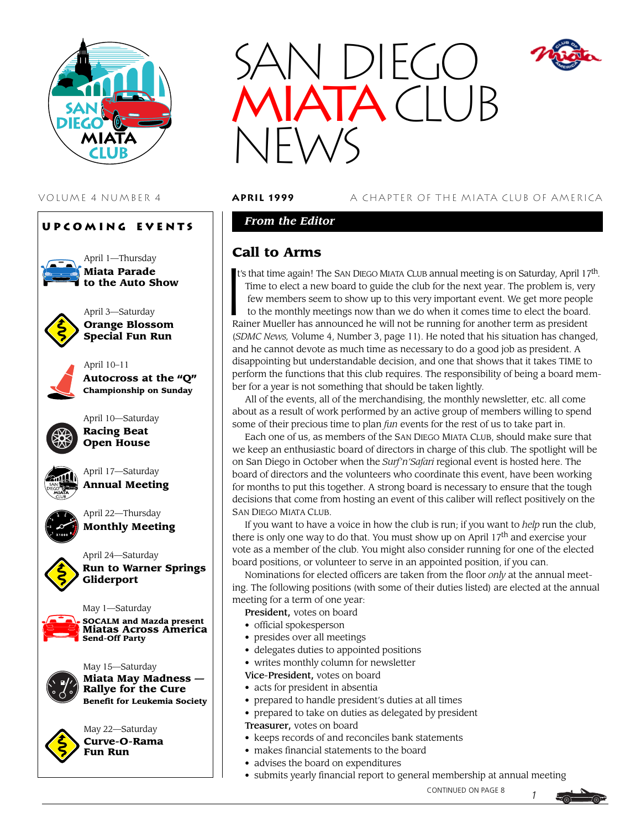





VOLUME 4 NUMBER 4 **april 1999** A CHAPTER OF THE MIATA CLUB OF AMERICA

### *From the Editor*

### **Call to Arms**

Ca<br>It's t's that time again! The SAN DIEGO MIATA CLUB annual meeting is on Saturday, April  $17<sup>th</sup>$ . Time to elect a new board to guide the club for the next year. The problem is, very few members seem to show up to this very important event. We get more people to the monthly meetings now than we do when it comes time to elect the board. Rainer Mueller has announced he will not be running for another term as president (*SDMC News,* Volume 4, Number 3, page 11). He noted that his situation has changed, and he cannot devote as much time as necessary to do a good job as president. A disappointing but understandable decision, and one that shows that it takes TIME to perform the functions that this club requires. The responsibility of being a board member for a year is not something that should be taken lightly.

All of the events, all of the merchandising, the monthly newsletter, etc. all come about as a result of work performed by an active group of members willing to spend some of their precious time to plan *fun* events for the rest of us to take part in.

Each one of us, as members of the SAN DIEGO MIATA CLUB, should make sure that we keep an enthusiastic board of directors in charge of this club. The spotlight will be on San Diego in October when the *Surf'n'Safari* regional event is hosted here. The board of directors and the volunteers who coordinate this event, have been working for months to put this together. A strong board is necessary to ensure that the tough decisions that come from hosting an event of this caliber will reflect positively on the SAN DIEGO MIATA CLUB.

If you want to have a voice in how the club is run; if you want to *help* run the club, there is only one way to do that. You must show up on April  $17<sup>th</sup>$  and exercise your vote as a member of the club. You might also consider running for one of the elected board positions, or volunteer to serve in an appointed position, if you can.

Nominations for elected officers are taken from the floor *only* at the annual meeting. The following positions (with some of their duties listed) are elected at the annual meeting for a term of one year:

President, votes on board

- official spokesperson
- presides over all meetings
- delegates duties to appointed positions
- writes monthly column for newsletter

Vice-President, votes on board

- acts for president in absentia
- prepared to handle president's duties at all times
- prepared to take on duties as delegated by president
- Treasurer, votes on board
- keeps records of and reconciles bank statements
- makes financial statements to the board
- advises the board on expenditures
- submits yearly financial report to general membership at annual meeting

CONTINUED ON PAGE 8

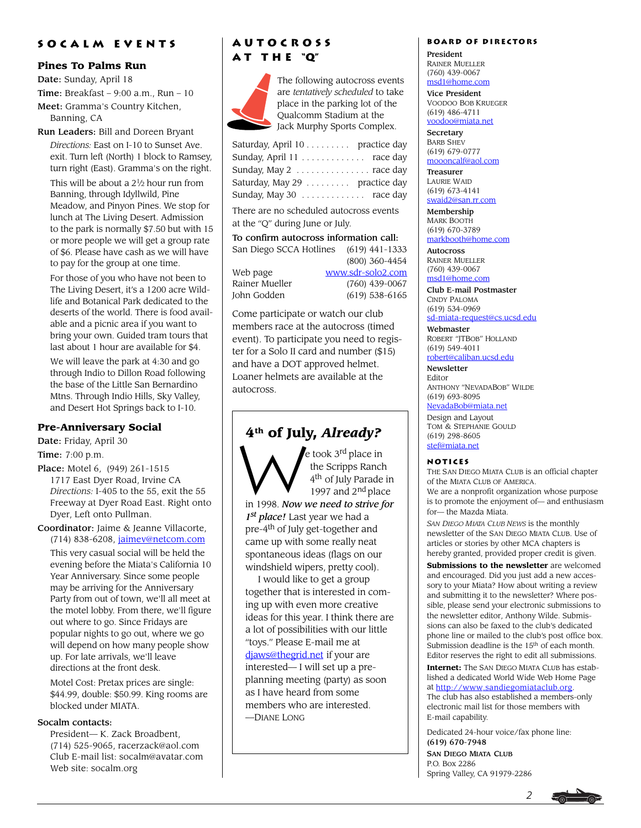### **Socalm events**

#### **Pines To Palms Run**

Date: Sunday, April 18

Time: Breakfast  $-9:00$  a.m., Run  $-10$ 

Meet: Gramma's Country Kitchen, Banning, CA

Run Leaders: Bill and Doreen Bryant

*Directions:* East on I-10 to Sunset Ave. exit. Turn left (North) 1 block to Ramsey, turn right (East). Gramma's on the right.

This will be about a  $2\frac{1}{2}$  hour run from Banning, through Idyllwild, Pine Meadow, and Pinyon Pines. We stop for lunch at The Living Desert. Admission to the park is normally \$7.50 but with 15 or more people we will get a group rate of \$6. Please have cash as we will have to pay for the group at one time.

For those of you who have not been to The Living Desert, it's a 1200 acre Wildlife and Botanical Park dedicated to the deserts of the world. There is food available and a picnic area if you want to bring your own. Guided tram tours that last about 1 hour are available for \$4.

We will leave the park at 4:30 and go through Indio to Dillon Road following the base of the Little San Bernardino Mtns. Through Indio Hills, Sky Valley, and Desert Hot Springs back to I-10.

#### **Pre-Anniversary Social**

Date: Friday, April 30

Time: 7:00 p.m.

Place: Motel 6, (949) 261-1515 1717 East Dyer Road, Irvine CA *Directions:* I-405 to the 55, exit the 55 Freeway at Dyer Road East. Right onto Dyer, Left onto Pullman.

Coordinator: Jaime & Jeanne Villacorte, (714) 838-6208, [jaimev@netcom.com](mailto:jaimev@netcom.com) This very casual social will be held the evening before the Miata's California 10 Year Anniversary. Since some people may be arriving for the Anniversary Party from out of town, we'll all meet at the motel lobby. From there, we'll figure out where to go. Since Fridays are popular nights to go out, where we go will depend on how many people show up. For late arrivals, we'll leave directions at the front desk.

Motel Cost: Pretax prices are single: \$44.99, double: \$50.99. King rooms are blocked under MIATA.

#### Socalm contacts:

President— K. Zack Broadbent, (714) 525-9065, [racerzack@aol.com](mailto:racerzack@aol.com) Club E-mail list: [socalm@avatar.com](mailto:socalm@avatar.com) Web site: [socalm.org](http://www.socalm.org)

## **Autocross a t t h e "Q"**



The following autocross events are *tentatively scheduled* to take place in the parking lot of the Qualcomm Stadium at the Jack Murphy Sports Complex.

| Saturday, April 10 practice day |  |  |
|---------------------------------|--|--|
| Sunday, April 11 race day       |  |  |
| Sunday, May 2   race day        |  |  |
| Saturday, May 29 practice day   |  |  |
| Sunday, May 30  race day        |  |  |

There are no scheduled autocross events at the "Q" during June or July.

To confirm autocross information call:

| San Diego SCCA Hotlines | $(619)$ 441-1333  |
|-------------------------|-------------------|
|                         | (800) 360-4454    |
| Web page                | www.sdr-solo2.com |
| Rainer Mueller          | $(760)$ 439-0067  |

(800) 360-4454 John Godden (619) 538-6165

Come participate or watch our club members race at the autocross (timed event). To participate you need to register for a Solo II card and number (\$15) and have a DOT approved helmet. Loaner helmets are available at the autocross.

**4th of July, Already?**<br>
the Scripps Rance in the Scripps Rance of the Scripps Rance of  $4^{\text{th}}$  of July Parade e took 3<sup>rd</sup> place in the Scripps Ranch 4th of July Parade in 1997 and  $2<sup>nd</sup>$  place in 1998. *Now we need to strive for 1st place!* Last year we had a pre-4<sup>th</sup> of July get-together and came up with some really neat spontaneous ideas (flags on our windshield wipers, pretty cool).

I would like to get a group together that is interested in coming up with even more creative ideas for this year. I think there are a lot of possibilities with our little "toys." Please E-mail me at [djaws@thegrid.net](mailto:djaws@thegrid.net) if your are interested— I will set up a preplanning meeting (party) as soon as I have heard from some members who are interested. —DIANE LONG

#### **Board of Directors**

President RAINER MUELLER (760) 439-0067 [msd1@home.com](mailto:msd1@home.com)

Vice President VOODOO BOB KRUEGER (619) 486-4711 [voodoo@miata.net](mailto:voodoo@miata.net)

**Secretary** BARB SHEV (619) 679-0777 [moooncalf@aol.com](mailto:mooncalf@aol.com)

Treasurer LAURIE WAID (619) 673-4141 [swaid2@san.rr.com](mailto:swaid2@san.rr.com)

Membership MARK BOOTH (619) 670-3789 [markbooth@home.com](mailto:markbooth@home.com)

**Autocross** RAINER MUELLER (760) 439-0067 [msd1@home.com](mailto:msd1@home.com)

Club E-mail Postmaster CINDY PALOMA (619) 534-0969

[sd-miata-request@cs.ucsd.edu](mailto:sd-miata-request@cs.ucsd.edu) Webmaster

ROBERT "JTBOB" HOLLAND (619) 549-4011 [robert@caliban.ucsd.edu](mailto:robert@caliban.ucsd.edu)

Newsletter

Editor ANTHONY "NEVADABOB" WILDE (619) 693-8095

[NevadaBob@miata.net](mailto:NevadaBob@miata.net)

Design and Layout TOM & STEPHANIE GOULD (619) 298-8605 [stef@miata.net](mailto:stef@miata.net)

#### **Notices**

THE SAN DIEGO MIATA CLUB is an official chapter of the MIATA CLUB OF AMERICA. We are a nonprofit organization whose purpose is to promote the enjoyment of— and enthusiasm

for— the Mazda Miata. *SAN DIEGO MIATA CLUB NEWS* is the monthly newsletter of the SAN DIEGO MIATA CLUB. Use of articles or stories by other MCA chapters is hereby granted, provided proper credit is given.

**Submissions to the newsletter** are welcomed and encouraged. Did you just add a new accessory to your Miata? How about writing a review and submitting it to the newsletter? Where possible, please send your electronic submissions to the newsletter editor, Anthony Wilde. Submissions can also be faxed to the club's dedicated phone line or mailed to the club's post office box. Submission deadline is the 15th of each month. Editor reserves the right to edit all submissions.

**Internet:** The SAN DIEGO MIATA CLUB has established a dedicated World Wide Web Home Page at [http://www.sandiegomiataclub.org.](http://www.sandiegomiataclub.org)

The club has also established a members-only electronic mail list for those members with E-mail capability.

Dedicated 24-hour voice/fax phone line: (619) 670-7948

SAN DIEGO MIATA CLUB P.O. Box 2286 Spring Valley, CA 91979-2286

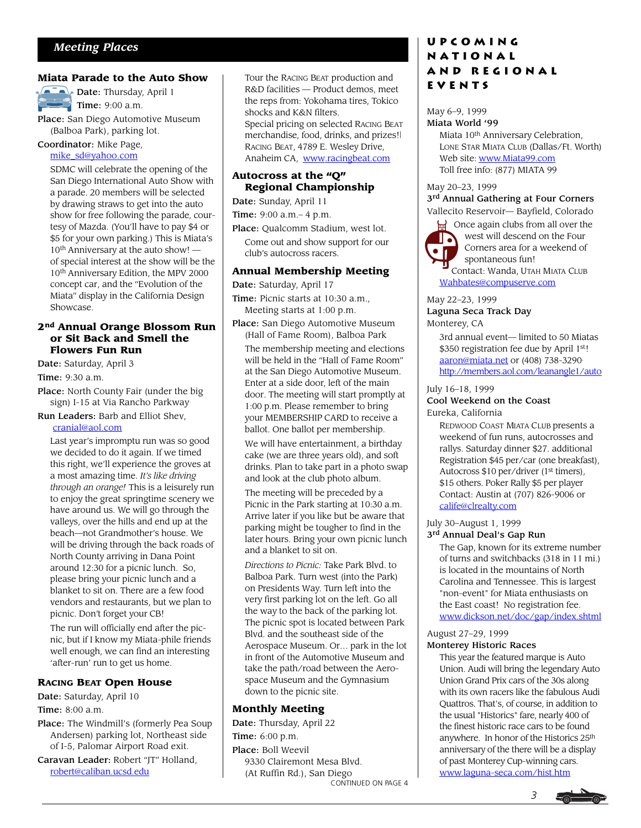#### **Miata Parade to the Auto Show**

 $\sqrt{p^{-1}}$  Date: Thursday, April 1  $\sum$  Time: 9:00 a.m.

Place: San Diego Automotive Museum (Balboa Park), parking lot.

### Coordinator: Mike Page,

#### [mike\\_sd@yahoo.com](mailto:mike_sd@yahoo.com)

SDMC will celebrate the opening of the San Diego International Auto Show with a parade. 20 members will be selected by drawing straws to get into the auto show for free following the parade, courtesy of Mazda. (You'll have to pay \$4 or \$5 for your own parking.) This is Miata's 10th Anniversary at the auto show! of special interest at the show will be the 10th Anniversary Edition, the MPV 2000 concept car, and the "Evolution of the Miata" display in the California Design Showcase.

#### **2nd Annual Orange Blossom Run or Sit Back and Smell the Flowers Fun Run**

Date: Saturday, April 3

Time: 9:30 a.m.

- Place: North County Fair (under the big sign) I-15 at Via Rancho Parkway
- Run Leaders: Barb and Elliot Shev, [cranial@aol.com](mailto:cranial@aol.com)

Last year's impromptu run was so good we decided to do it again. If we timed this right, we'll experience the groves at a most amazing time. *It's like driving through an orange!* This is a leisurely run to enjoy the great springtime scenery we have around us. We will go through the valleys, over the hills and end up at the beach—not Grandmother's house. We will be driving through the back roads of North County arriving in Dana Point around 12:30 for a picnic lunch. So, please bring your picnic lunch and a blanket to sit on. There are a few food vendors and restaurants, but we plan to picnic. Don't forget your CB!

The run will officially end after the picnic, but if I know my Miata-phile friends well enough, we can find an interesting 'after-run' run to get us home.

#### **RACING BEAT Open House**

Date: Saturday, April 10

Time: 8:00 a.m.

Place: The Windmill's (formerly Pea Soup Andersen) parking lot, Northeast side of I-5, Palomar Airport Road exit.

Caravan Leader: Robert "JT" Holland, [robert@caliban.ucsd.edu](mailto:robert@caliban.ucsd.edu)

Tour the RACING BEAT production and R&D facilities — Product demos, meet the reps from: Yokohama tires, Tokico shocks and K&N filters. Special pricing on selected RACING BEAT merchandise, food, drinks, and prizes!| RACING BEAT, 4789 E. Wesley Drive, Anaheim CA, [www.racingbeat.com](http://www.racingbeat.com)

#### **Autocross at the "Q" Regional Championship**

#### Date: Sunday, April 11

Time: 9:00 a.m.– 4 p.m.

Place: Qualcomm Stadium, west lot.

Come out and show support for our club's autocross racers.

#### **Annual Membership Meeting**

Date: Saturday, April 17

- Time: Picnic starts at 10:30 a.m., Meeting starts at 1:00 p.m.
- Place: San Diego Automotive Museum (Hall of Fame Room), Balboa Park

The membership meeting and elections will be held in the "Hall of Fame Room" at the San Diego Automotive Museum. Enter at a side door, left of the main door. The meeting will start promptly at 1:00 p.m. Please remember to bring your MEMBERSHIP CARD to receive a ballot. One ballot per membership.

We will have entertainment, a birthday cake (we are three years old), and soft drinks. Plan to take part in a photo swap and look at the club photo album.

The meeting will be preceded by a Picnic in the Park starting at 10:30 a.m. Arrive later if you like but be aware that parking might be tougher to find in the later hours. Bring your own picnic lunch and a blanket to sit on.

*Directions to Picnic:* Take Park Blvd. to Balboa Park. Turn west (into the Park) on Presidents Way. Turn left into the very first parking lot on the left. Go all the way to the back of the parking lot. The picnic spot is located between Park Blvd. and the southeast side of the Aerospace Museum. Or… park in the lot in front of the Automotive Museum and take the path/road between the Aerospace Museum and the Gymnasium down to the picnic site.

#### **Monthly Meeting**

CONTINUED ON PAGE 4 Date: Thursday, April 22 Time: 6:00 p.m. Place: Boll Weevil 9330 Clairemont Mesa Blvd. (At Ruffin Rd.), San Diego

### **Upcoming National and Regional Events**

#### May 6–9, 1999 Miata World '99

Miata 10th Anniversary Celebration, LONE STAR MIATA CLUB (Dallas/Ft. Worth) Web site: [www.Miata99.com](http://www.Miata99.com) Toll free info: (877) MIATA 99

May 20–23, 1999 3<sup>rd</sup> Annual Gathering at Four Corners Vallecito Reservoir— Bayfield, Colorado



**S** Once again clubs from all over the west will descend on the Four Corners area for a weekend of spontaneous fun! Contact: Wanda, UTAH MIATA CLUB

[Wahbates@compuserve.com](mailto:Wahbates@compuserve.com)

#### May 22–23, 1999 Laguna Seca Track Day Monterey, CA

3rd annual event— limited to 50 Miatas \$350 registration fee due by April 1st! [aaron@miata.net](mailto:aaron@miata.net) or (408) 738-3290. <http://members.aol.com/leanangle1/auto>

#### July 16–18, 1999

#### Cool Weekend on the Coast Eureka, California

REDWOOD COAST MIATA CLUB presents a weekend of fun runs, autocrosses and rallys. Saturday dinner \$27. additional Registration \$45 per/car (one breakfast), Autocross \$10 per/driver (1<sup>st</sup> timers), \$15 others. Poker Rally \$5 per player Contact: Austin at (707) 826-9006 or [calife@clrealty.com](mailto:calife@clrealty.com)

## July 30–August 1, 1999

3<sup>rd</sup> Annual Deal's Gap Run

The Gap, known for its extreme number of turns and switchbacks (318 in 11 mi.) is located in the mountains of North Carolina and Tennessee. This is largest "non-event" for Miata enthusiasts on the East coast! No registration fee. [www.dickson.net/doc/gap/index.shtml](http://www.dickson.net/doc/gap/index.shtml)

#### August 27–29, 1999 Monterey Historic Races

This year the featured marque is Auto Union. Audi will bring the legendary Auto Union Grand Prix cars of the 30s along with its own racers like the fabulous Audi Quattros. That's, of course, in addition to the usual "Historics" fare, nearly 400 of the finest historic race cars to be found anywhere. In honor of the Historics 25th anniversary of the there will be a display of past Monterey Cup-winning cars. [www.laguna-seca.com/hist.htm](http://www.laguna-seca.com/hist.htm)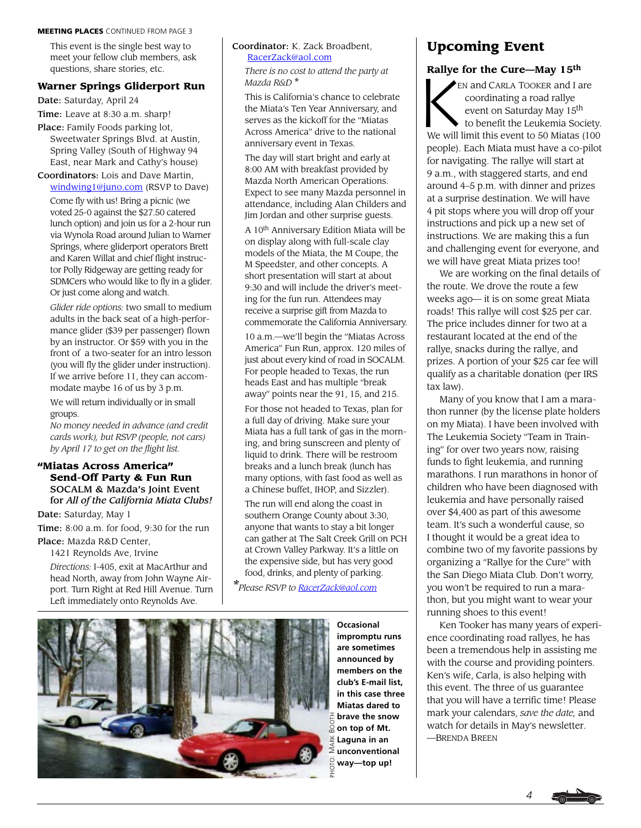#### MEETING PLACES CONTINUED FROM PAGE 3

This event is the single best way to meet your fellow club members, ask questions, share stories, etc.

#### **Warner Springs Gliderport Run**

Date: Saturday, April 24

Time: Leave at 8:30 a.m. sharp!

Place: Family Foods parking lot, Sweetwater Springs Blvd. at Austin, Spring Valley (South of Highway 94 East, near Mark and Cathy's house)

Coordinators: Lois and Dave Martin, [windwing1@juno.com](mailto:windwing1@juno.com) (RSVP to Dave) Come fly with us! Bring a picnic (we voted 25-0 against the \$27.50 catered lunch option) and join us for a 2-hour run via Wynola Road around Julian to Warner Springs, where gliderport operators Brett and Karen Willat and chief flight instructor Polly Ridgeway are getting ready for SDMCers who would like to fly in a glider. Or just come along and watch.

*Glider ride options:* two small to medium adults in the back seat of a high-performance glider (\$39 per passenger) flown by an instructor. Or \$59 with you in the front of a two-seater for an intro lesson (you will fly the glider under instruction). If we arrive before 11, they can accommodate maybe 16 of us by 3 p.m.

We will return individually or in small groups.

*No money needed in advance (and credit cards work), but RSVP (people, not cars) by April 17 to get on the flight list.*

#### **"Miatas Across America" Send-Off Party & Fun Run** SOCALM & Mazda's Joint Event for *All of the California Miata Clubs!*

Date: Saturday, May 1

Time: 8:00 a.m. for food, 9:30 for the run

Place: Mazda R&D Center, 1421 Reynolds Ave, Irvine

*Directions:* I-405, exit at MacArthur and head North, away from John Wayne Airport. Turn Right at Red Hill Avenue. Turn Left immediately onto Reynolds Ave.

#### Coordinator: K. Zack Broadbent, [RacerZack@aol.com](mailto:RacerZack@aol.com)

*There is no cost to attend the party at Mazda R&D* \*

This is California's chance to celebrate the Miata's Ten Year Anniversary, and serves as the kickoff for the "Miatas Across America" drive to the national anniversary event in Texas.

The day will start bright and early at 8:00 AM with breakfast provided by Mazda North American Operations. Expect to see many Mazda personnel in attendance, including Alan Childers and Jim Jordan and other surprise guests.

A 10th Anniversary Edition Miata will be on display along with full-scale clay models of the Miata, the M Coupe, the M Speedster, and other concepts. A short presentation will start at about 9:30 and will include the driver's meeting for the fun run. Attendees may receive a surprise gift from Mazda to commemorate the California Anniversary.

10 a.m.—we'll begin the "Miatas Across America" Fun Run, approx. 120 miles of just about every kind of road in SOCALM. For people headed to Texas, the run heads East and has multiple "break away" points near the 91, 15, and 215.

For those not headed to Texas, plan for a full day of driving. Make sure your Miata has a full tank of gas in the morning, and bring sunscreen and plenty of liquid to drink. There will be restroom breaks and a lunch break (lunch has many options, with fast food as well as a Chinese buffet, IHOP, and Sizzler).

The run will end along the coast in southern Orange County about 3:30, anyone that wants to stay a bit longer can gather at The Salt Creek Grill on PCH at Crown Valley Parkway. It's a little on the expensive side, but has very good food, drinks, and plenty of parking.

*\*Please RSVP to [RacerZack@aol.com](mailto:RacerZack@aol.com)*



**Upcoming Event**

**Rallye for the Cure—May 15<sup>th</sup><br>
EN and CARLA TOOKER and I a<br>
coordinating a road rallye<br>
event on Saturday May 15<sup>th</sup><br>
to benefit the Leukemia So** EN and CARLA TOOKER and I are coordinating a road rallye event on Saturday May 15<sup>th</sup> to benefit the Leukemia Society. We will limit this event to 50 Miatas (100 people). Each Miata must have a co-pilot for navigating. The rallye will start at 9 a.m., with staggered starts, and end around 4–5 p.m. with dinner and prizes at a surprise destination. We will have 4 pit stops where you will drop off your instructions and pick up a new set of instructions. We are making this a fun and challenging event for everyone, and we will have great Miata prizes too!

We are working on the final details of the route. We drove the route a few weeks ago— it is on some great Miata roads! This rallye will cost \$25 per car. The price includes dinner for two at a restaurant located at the end of the rallye, snacks during the rallye, and prizes. A portion of your \$25 car fee will qualify as a charitable donation (per IRS tax law).

Many of you know that I am a marathon runner (by the license plate holders on my Miata). I have been involved with The Leukemia Society "Team in Training" for over two years now, raising funds to fight leukemia, and running marathons. I run marathons in honor of children who have been diagnosed with leukemia and have personally raised over \$4,400 as part of this awesome team. It's such a wonderful cause, so I thought it would be a great idea to combine two of my favorite passions by organizing a "Rallye for the Cure" with the San Diego Miata Club. Don't worry, you won't be required to run a marathon, but you might want to wear your running shoes to this event!

Ken Tooker has many years of experience coordinating road rallyes, he has been a tremendous help in assisting me with the course and providing pointers. Ken's wife, Carla, is also helping with this event. The three of us guarantee that you will have a terrific time! Please mark your calendars, *save the date,* and watch for details in May's newsletter. —BRENDA BREEN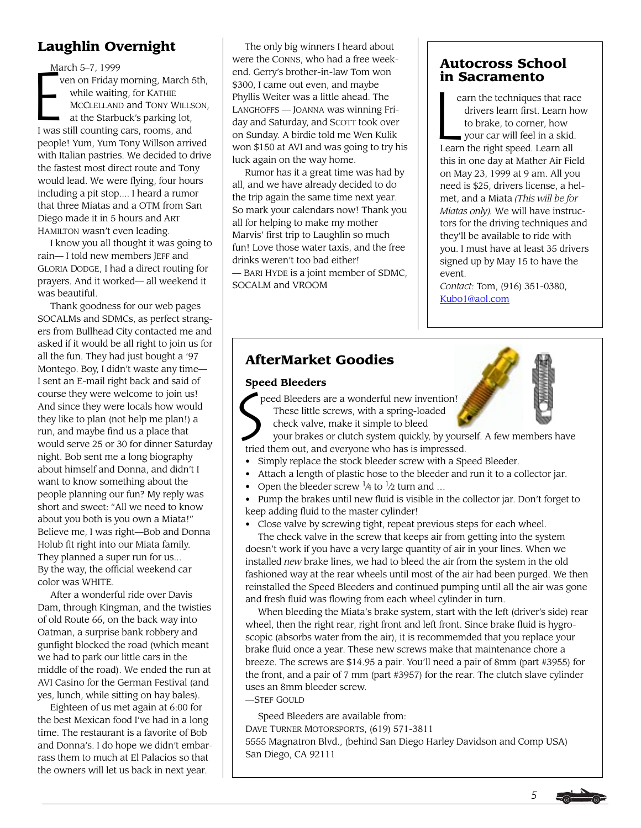## **Laughlin Overnight**

March 5–7, 1999 ven on Friday morning, March 5th, while waiting, for KATHIE MCCLELLAND and TONY WILLSON, at the Starbuck's parking lot, I was still counting cars, rooms, and people! Yum, Yum Tony Willson arrived with Italian pastries. We decided to drive the fastest most direct route and Tony would lead. We were flying, four hours including a pit stop.... I heard a rumor that three Miatas and a OTM from San Diego made it in 5 hours and ART HAMILTON wasn't even leading.

I know you all thought it was going to rain— I told new members JEFF and GLORIA DODGE, I had a direct routing for prayers. And it worked— all weekend it was beautiful.

Thank goodness for our web pages SOCALMs and SDMCs, as perfect strangers from Bullhead City contacted me and asked if it would be all right to join us for all the fun. They had just bought a '97 Montego. Boy, I didn't waste any time— I sent an E-mail right back and said of course they were welcome to join us! And since they were locals how would they like to plan (not help me plan!) a run, and maybe find us a place that would serve 25 or 30 for dinner Saturday night. Bob sent me a long biography about himself and Donna, and didn't I want to know something about the people planning our fun? My reply was short and sweet: "All we need to know about you both is you own a Miata!" Believe me, I was right—Bob and Donna Holub fit right into our Miata family. They planned a super run for us... By the way, the official weekend car color was WHITE.

After a wonderful ride over Davis Dam, through Kingman, and the twisties of old Route 66, on the back way into Oatman, a surprise bank robbery and gunfight blocked the road (which meant we had to park our little cars in the middle of the road). We ended the run at AVI Casino for the German Festival (and yes, lunch, while sitting on hay bales).

Eighteen of us met again at 6:00 for the best Mexican food I've had in a long time. The restaurant is a favorite of Bob and Donna's. I do hope we didn't embarrass them to much at El Palacios so that the owners will let us back in next year.

The only big winners I heard about were the CONNS, who had a free weekend. Gerry's brother-in-law Tom won \$300, I came out even, and maybe Phyllis Weiter was a little ahead. The LANGHOFFS — JOANNA was winning Friday and Saturday, and SCOTT took over on Sunday. A birdie told me Wen Kulik won \$150 at AVI and was going to try his luck again on the way home. March 5–7, 1999<br>
vere the CONNS, who had a free week-<br>
end. Gerry's brother-in-law Tom won<br>
still end Service and maybe<br>
while waiting, for KATHIE<br>
MCCLELLAND and TONY WILLSON,<br>
at the Starbuck's parking lot,<br>
I was still

> Rumor has it a great time was had by all, and we have already decided to do the trip again the same time next year. So mark your calendars now! Thank you all for helping to make my mother Marvis' first trip to Laughlin so much fun! Love those water taxis, and the free drinks weren't too bad either! — BARI HYDE is a joint member of SDMC, SOCALM and VROOM

### **Autocross School in Sacramento**

earn the techniques that race drivers learn first. Learn how to brake, to corner, how your car will feel in a skid. Learn the right speed. Learn all this in one day at Mather Air Field on May 23, 1999 at 9 am. All you need is \$25, drivers license, a helmet, and a Miata *(This will be for Miatas only).* We will have instructors for the driving techniques and they'll be available to ride with you. I must have at least 35 drivers signed up by May 15 to have the event.

*Contact:* Tom, (916) 351-0380, [Kubo1@aol.com](mailto:Kubo1@aol.com)

## **AfterMarket Goodies**

### **Speed Bleeders**

 $\sum_{\mathrm{p}}^{\mathrm{spec}}$  peed Bleeders are a wonderful new invention! These little screws, with a spring-loaded

 check valve, make it simple to bleed your brakes or clutch system quickly, by yourself. A few members have

tried them out, and everyone who has is impressed.

- Simply replace the stock bleeder screw with a Speed Bleeder.
- Attach a length of plastic hose to the bleeder and run it to a collector jar.
- Open the bleeder screw  $\frac{1}{4}$  to  $\frac{1}{2}$  turn and ...

• Pump the brakes until new fluid is visible in the collector jar. Don't forget to keep adding fluid to the master cylinder!

• Close valve by screwing tight, repeat previous steps for each wheel.

The check valve in the screw that keeps air from getting into the system doesn't work if you have a very large quantity of air in your lines. When we installed *new* brake lines, we had to bleed the air from the system in the old fashioned way at the rear wheels until most of the air had been purged. We then reinstalled the Speed Bleeders and continued pumping until all the air was gone and fresh fluid was flowing from each wheel cylinder in turn.

When bleeding the Miata's brake system, start with the left (driver's side) rear wheel, then the right rear, right front and left front. Since brake fluid is hygroscopic (absorbs water from the air), it is recommemded that you replace your brake fluid once a year. These new screws make that maintenance chore a breeze. The screws are \$14.95 a pair. You'll need a pair of 8mm (part #3955) for the front, and a pair of 7 mm (part #3957) for the rear. The clutch slave cylinder uses an 8mm bleeder screw.

#### —STEF GOULD

Speed Bleeders are available from: DAVE TURNER MOTORSPORTS, (619) 571-3811 5555 Magnatron Blvd., (behind San Diego Harley Davidson and Comp USA) San Diego, CA 92111



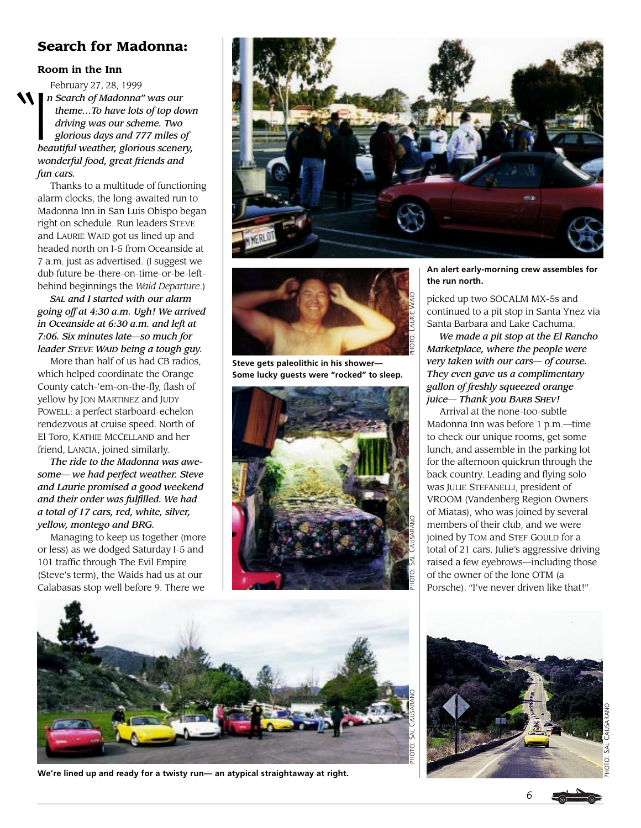### **Search for Madonna:**

#### **Room in the Inn**

 $N \bigg|_n$ February 27, 28, 1999 *n Search of Madonna" was our theme…To have lots of top down driving was our scheme. Two glorious days and 777 miles of beautiful weather, glorious scenery, wonderful food, great friends and fun cars.*

Thanks to a multitude of functioning alarm clocks, the long-awaited run to Madonna Inn in San Luis Obispo began right on schedule. Run leaders STEVE and LAURIE WAID got us lined up and headed north on I-5 from Oceanside at 7 a.m. just as advertised. (I suggest we dub future be-there-on-time-or-be-leftbehind beginnings the *Waid Departure*.)

*SAL and I started with our alarm going off at 4:30 a.m. Ugh! We arrived in Oceanside at 6:30 a.m. and left at 7:06. Six minutes late—so much for leader STEVE WAID being a tough guy.*

More than half of us had CB radios, which helped coordinate the Orange County catch-'em-on-the-fly, flash of yellow by JON MARTINEZ and JUDY POWELL: a perfect starboard-echelon rendezvous at cruise speed. North of El Toro, KATHIE MCCELLAND and her friend, LANCIA, joined similarly.

*The ride to the Madonna was awesome— we had perfect weather. Steve and Laurie promised a good weekend and their order was fulfilled. We had a total of 17 cars, red, white, silver, yellow, montego and BRG.*

Managing to keep us together (more or less) as we dodged Saturday I-5 and 101 traffic through The Evil Empire (Steve's term), the Waids had us at our Calabasas stop well before 9. There we





**Steve gets paleolithic in his shower— Some lucky guests were "rocked" to sleep.**



**An alert early-morning crew assembles for the run north.**

picked up two SOCALM MX-5s and continued to a pit stop in Santa Ynez via Santa Barbara and Lake Cachuma.

*We made a pit stop at the El Rancho Marketplace, where the people were very taken with our cars— of course. They even gave us a complimentary gallon of freshly squeezed orange juice— Thank you BARB SHEV!*

Arrival at the none-too-subtle Madonna Inn was before 1 p.m.—time to check our unique rooms, get some lunch, and assemble in the parking lot for the afternoon quickrun through the back country. Leading and flying solo was JULIE STEFANELLI, president of VROOM (Vandenberg Region Owners of Miatas), who was joined by several members of their club, and we were joined by TOM and STEF GOULD for a total of 21 cars. Julie's aggressive driving raised a few eyebrows—including those of the owner of the lone OTM (a Porsche). "I've never driven like that!"



**We're lined up and ready for a twisty run— an atypical straightaway at right.**



PHOTO: SAL CAUSARANO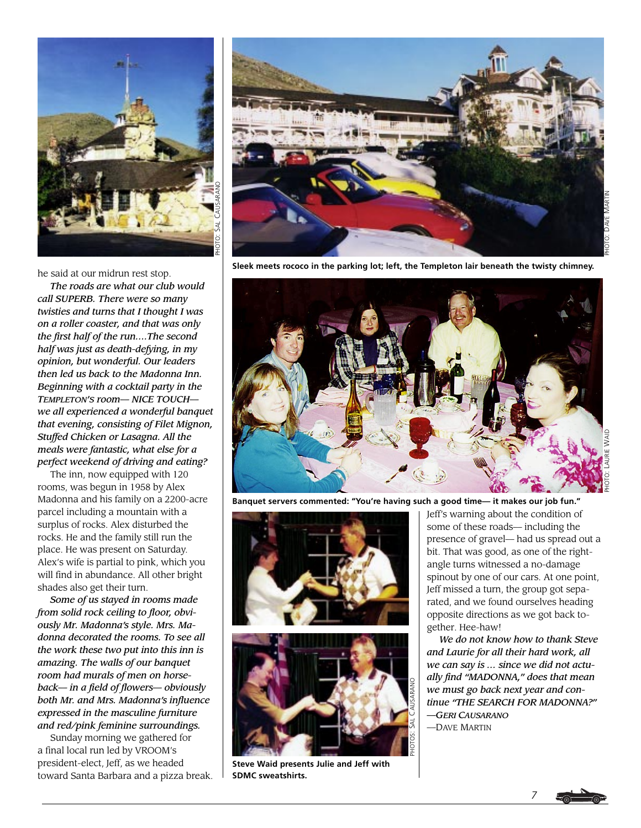

he said at our midrun rest stop.

*The roads are what our club would call SUPERB. There were so many twisties and turns that I thought I was on a roller coaster, and that was only the first half of the run….The second half was just as death-defying, in my opinion, but wonderful. Our leaders then led us back to the Madonna Inn. Beginning with a cocktail party in the TEMPLETON'S room— NICE TOUCH we all experienced a wonderful banquet that evening, consisting of Filet Mignon, Stuffed Chicken or Lasagna. All the meals were fantastic, what else for a perfect weekend of driving and eating?*

The inn, now equipped with 120 rooms, was begun in 1958 by Alex Madonna and his family on a 2200-acre parcel including a mountain with a surplus of rocks. Alex disturbed the rocks. He and the family still run the place. He was present on Saturday. Alex's wife is partial to pink, which you will find in abundance. All other bright shades also get their turn.

*Some of us stayed in rooms made from solid rock ceiling to floor, obviously Mr. Madonna's style. Mrs. Madonna decorated the rooms. To see all the work these two put into this inn is amazing. The walls of our banquet room had murals of men on horseback— in a field of flowers— obviously both Mr. and Mrs. Madonna's influence expressed in the masculine furniture and red/pink feminine surroundings.*

Sunday morning we gathered for a final local run led by VROOM's president-elect, Jeff, as we headed toward Santa Barbara and a pizza break.



**Sleek meets rococo in the parking lot; left, the Templeton lair beneath the twisty chimney.**



**Banquet servers commented: "You're having such a good time— it makes our job fun."**





**Steve Waid presents Julie and Jeff with SDMC sweatshirts.**

Jeff's warning about the condition of some of these roads— including the presence of gravel— had us spread out a bit. That was good, as one of the rightangle turns witnessed a no-damage spinout by one of our cars. At one point, Jeff missed a turn, the group got separated, and we found ourselves heading opposite directions as we got back together. Hee-haw!

*We do not know how to thank Steve and Laurie for all their hard work, all we can say is … since we did not actually find "MADONNA," does that mean we must go back next year and continue "THE SEARCH FOR MADONNA?" —GERI CAUSARANO* —DAVE MARTIN



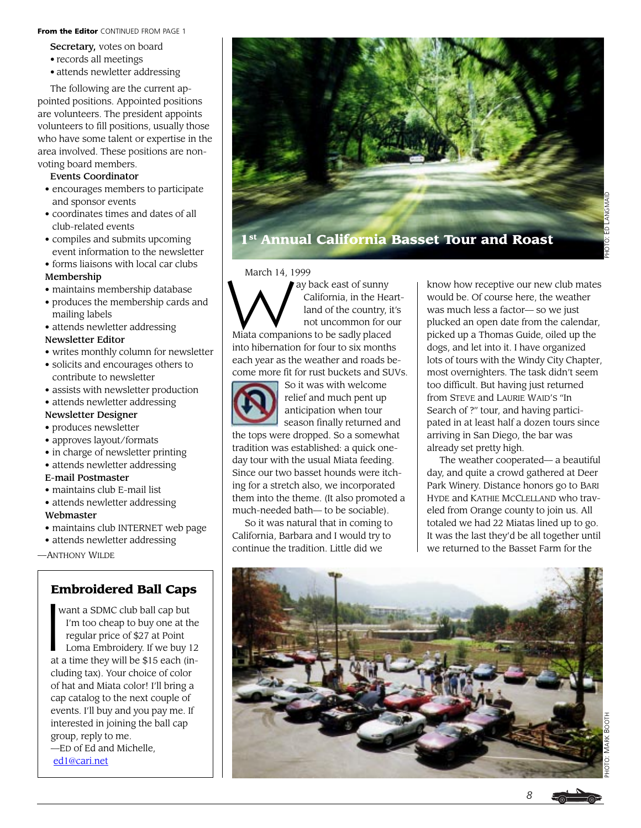From the Editor CONTINUED FROM PAGE 1

- Secretary, votes on board
- records all meetings
- attends newletter addressing

The following are the current appointed positions. Appointed positions are volunteers. The president appoints volunteers to fill positions, usually those who have some talent or expertise in the area involved. These positions are nonvoting board members.

#### Events Coordinator

- encourages members to participate and sponsor events
- coordinates times and dates of all club-related events
- compiles and submits upcoming event information to the newsletter
- forms liaisons with local car clubs Membership
- maintains membership database
- produces the membership cards and mailing labels
- attends newletter addressing

### Newsletter Editor

- writes monthly column for newsletter
- solicits and encourages others to contribute to newsletter
- assists with newsletter production
- attends newletter addressing

#### Newsletter Designer

#### • produces newsletter

- approves layout/formats
- in charge of newsletter printing
- attends newletter addressing
- E-mail Postmaster
- maintains club E-mail list
- attends newletter addressing Webmaster
- maintains club INTERNET web page
- attends newletter addressing

—ANTHONY WILDE

## **Embroidered Ball Caps**

 want a SDMC club ball cap but I'm too cheap to buy one at the regular price of \$27 at Point Loma Embroidery. If we buy 12 at a time they will be \$15 each (including tax). Your choice of color of hat and Miata color! I'll bring a cap catalog to the next couple of events. I'll buy and you pay me. If interested in joining the ball cap group, reply to me. —ED of Ed and Michelle, En<br>|<br>|

[ed1@cari.net](mailto:ed1@cari.net)



**1st Annual California Basset Tour and Roast**

March 14, 1999 ay back east of sunny California, in the Heart land of the country, it's not uncommon for our Miata companions to be sadly placed into hibernation for four to six months each year as the weather and roads become more fit for rust buckets and SUVs.



So it was with welcome relief and much pent up anticipation when tour season finally returned and

the tops were dropped. So a somewhat tradition was established: a quick oneday tour with the usual Miata feeding. Since our two basset hounds were itching for a stretch also, we incorporated them into the theme. (It also promoted a much-needed bath— to be sociable).

So it was natural that in coming to California, Barbara and I would try to continue the tradition. Little did we

know how receptive our new club mates would be. Of course here, the weather was much less a factor— so we just plucked an open date from the calendar, picked up a Thomas Guide, oiled up the dogs, and let into it. I have organized lots of tours with the Windy City Chapter, most overnighters. The task didn't seem too difficult. But having just returned from STEVE and LAURIE WAID'S "In Search of ?" tour, and having participated in at least half a dozen tours since arriving in San Diego, the bar was already set pretty high.

The weather cooperated— a beautiful day, and quite a crowd gathered at Deer Park Winery. Distance honors go to BARI HYDE and KATHIE MCCLELLAND who traveled from Orange county to join us. All totaled we had 22 Miatas lined up to go. It was the last they'd be all together until we returned to the Basset Farm for the

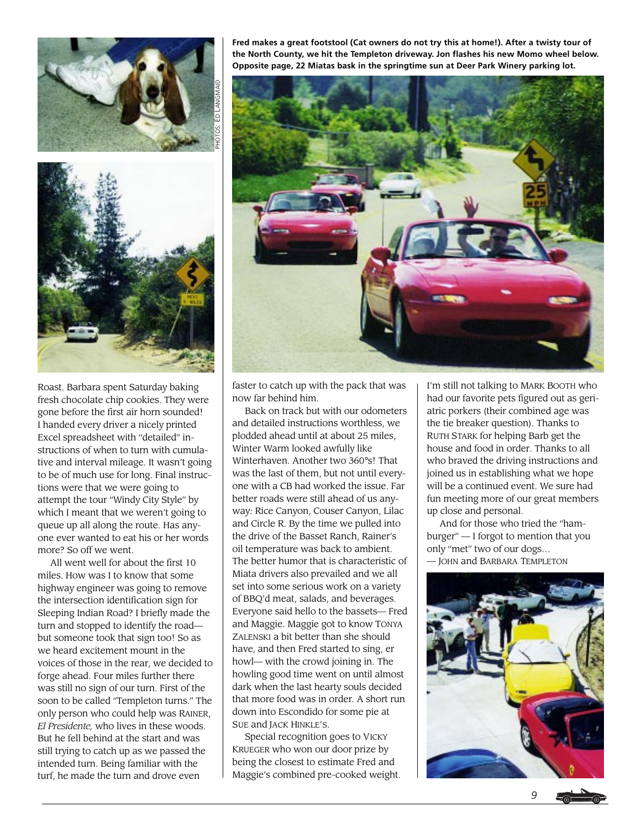



Roast. Barbara spent Saturday baking fresh chocolate chip cookies. They were gone before the first air horn sounded! I handed every driver a nicely printed Excel spreadsheet with "detailed" instructions of when to turn with cumulative and interval mileage. It wasn't going to be of much use for long. Final instructions were that we were going to attempt the tour "Windy City Style" by which I meant that we weren't going to queue up all along the route. Has anyone ever wanted to eat his or her words more? So off we went.

All went well for about the first 10 miles. How was I to know that some highway engineer was going to remove the intersection identification sign for Sleeping Indian Road? I briefly made the turn and stopped to identify the road but someone took that sign too! So as we heard excitement mount in the voices of those in the rear, we decided to forge ahead. Four miles further there was still no sign of our turn. First of the soon to be called "Templeton turns." The only person who could help was RAINER, *El Presidente,* who lives in these woods. But he fell behind at the start and was still trying to catch up as we passed the intended turn. Being familiar with the turf, he made the turn and drove even

**Fred makes a great footstool (Cat owners do not try this at home!). After a twisty tour of the North County, we hit the Templeton driveway. Jon flashes his new Momo wheel below. Opposite page, 22 Miatas bask in the springtime sun at Deer Park Winery parking lot.**



faster to catch up with the pack that was now far behind him.

Back on track but with our odometers and detailed instructions worthless, we plodded ahead until at about 25 miles, Winter Warm looked awfully like Winterhaven. Another two 360°s! That was the last of them, but not until everyone with a CB had worked the issue. Far better roads were still ahead of us anyway: Rice Canyon, Couser Canyon, Lilac and Circle R. By the time we pulled into the drive of the Basset Ranch, Rainer's oil temperature was back to ambient. The better humor that is characteristic of Miata drivers also prevailed and we all set into some serious work on a variety of BBQ'd meat, salads, and beverages. Everyone said hello to the bassets— Fred and Maggie. Maggie got to know TONYA ZALENSKI a bit better than she should have, and then Fred started to sing, er howl— with the crowd joining in. The howling good time went on until almost dark when the last hearty souls decided that more food was in order. A short run down into Escondido for some pie at SUE and JACK HINKLE'S.

Special recognition goes to VICKY KRUEGER who won our door prize by being the closest to estimate Fred and Maggie's combined pre-cooked weight.

I'm still not talking to MARK BOOTH who had our favorite pets figured out as geriatric porkers (their combined age was the tie breaker question). Thanks to RUTH STARK for helping Barb get the house and food in order. Thanks to all who braved the driving instructions and joined us in establishing what we hope will be a continued event. We sure had fun meeting more of our great members up close and personal.

And for those who tried the "hamburger" — I forgot to mention that you only "met" two of our dogs… — JOHN and BARBARA TEMPLETON

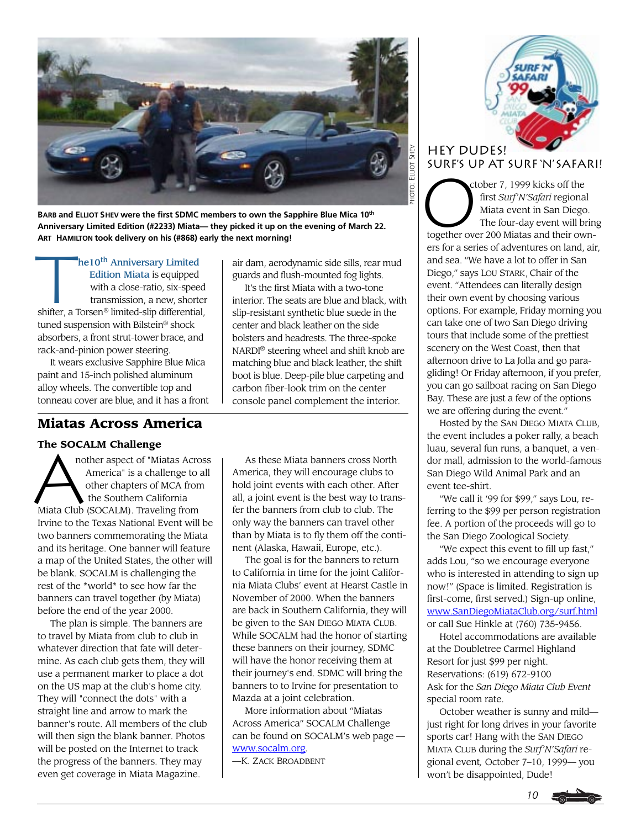

**BARB and ELLIOT SHEV were the first SDMC members to own the Sapphire Blue Mica 10th Anniversary Limited Edition (#2233) Miata— they picked it up on the evening of March 22. ART HAMILTON took delivery on his (#868) early the next morning!**

AKI HAMIL<br>**Tan** he10<sup>th</sup> Anniversary Limited Edition Miata is equipped with a close-ratio, six-speed transmission, a new, shorter shifter, a Torsen® limited-slip differential, tuned suspension with Bilstein® shock absorbers, a front strut-tower brace, and rack-and-pinion power steering.

It wears exclusive Sapphire Blue Mica paint and 15-inch polished aluminum alloy wheels. The convertible top and tonneau cover are blue, and it has a front

### **Miatas Across America**

The SOCALM Challenge<br>
nother aspect of "Mi<br>
America" is a chal<br>
other chapters of<br>
the Southern Cali nother aspect of "Miatas Across America" is a challenge to all other chapters of MCA from the Southern California Miata Club (SOCALM). Traveling from Irvine to the Texas National Event will be two banners commemorating the Miata and its heritage. One banner will feature a map of the United States, the other will be blank. SOCALM is challenging the rest of the \*world\* to see how far the banners can travel together (by Miata) before the end of the year 2000.

The plan is simple. The banners are to travel by Miata from club to club in whatever direction that fate will determine. As each club gets them, they will use a permanent marker to place a dot on the US map at the club's home city. They will "connect the dots" with a straight line and arrow to mark the banner's route. All members of the club will then sign the blank banner. Photos will be posted on the Internet to track the progress of the banners. They may even get coverage in Miata Magazine.

air dam, aerodynamic side sills, rear mud guards and flush-mounted fog lights.

It's the first Miata with a two-tone interior. The seats are blue and black, with slip-resistant synthetic blue suede in the center and black leather on the side bolsters and headrests. The three-spoke NARDI® steering wheel and shift knob are matching blue and black leather, the shift boot is blue. Deep-pile blue carpeting and carbon fiber-look trim on the center console panel complement the interior.

As these Miata banners cross North America, they will encourage clubs to hold joint events with each other. After all, a joint event is the best way to transfer the banners from club to club. The only way the banners can travel other than by Miata is to fly them off the continent (Alaska, Hawaii, Europe, etc.).

The goal is for the banners to return to California in time for the joint California Miata Clubs' event at Hearst Castle in November of 2000. When the banners are back in Southern California, they will be given to the SAN DIEGO MIATA CLUB. While SOCALM had the honor of starting these banners on their journey, SDMC will have the honor receiving them at their journey's end. SDMC will bring the banners to to Irvine for presentation to Mazda at a joint celebration.

More information about "Miatas Across America" SOCALM Challenge can be found on SOCALM's web page [www.socalm.org.](http://www.socalm.org)

—K. ZACK BROADBENT



# **HEY DUDES!**

SURF'S UP AT SURF 'N' SAFARI!<br>
ctober 7, 1999 kicks off the<br>
first *Surf'N'Safari* regional<br>
Miata event in San Diego.<br>
The four-day event will bring ctober 7, 1999 kicks off the first *Surf'N'Safari* regional Miata event in San Diego. The four-day event will bring together over 200 Miatas and their owners for a series of adventures on land, air, and sea. "We have a lot to offer in San Diego," says LOU STARK, Chair of the event. "Attendees can literally design their own event by choosing various options. For example, Friday morning you can take one of two San Diego driving tours that include some of the prettiest scenery on the West Coast, then that afternoon drive to La Jolla and go paragliding! Or Friday afternoon, if you prefer, you can go sailboat racing on San Diego Bay. These are just a few of the options we are offering during the event."

Hosted by the SAN DIEGO MIATA CLUB, the event includes a poker rally, a beach luau, several fun runs, a banquet, a vendor mall, admission to the world-famous San Diego Wild Animal Park and an event tee-shirt.

"We call it '99 for \$99," says Lou, referring to the \$99 per person registration fee. A portion of the proceeds will go to the San Diego Zoological Society.

"We expect this event to fill up fast," adds Lou, "so we encourage everyone who is interested in attending to sign up now!" (Space is limited. Registration is first-come, first served.) Sign-up online, [www.SanDiegoMiataClub.org/surf.html](http://www.mainstreet-data.com/sns/) or call Sue Hinkle at (760) 735-9456.

Hotel accommodations are available at the Doubletree Carmel Highland Resort for just \$99 per night. Reservations: (619) 672-9100 Ask for the *San Diego Miata Club Event* special room rate.

October weather is sunny and mild just right for long drives in your favorite sports car! Hang with the SAN DIEGO MIATA CLUB during the *Surf'N'Safari* regional event*,* October 7–10, 1999— you won't be disappointed, Dude!